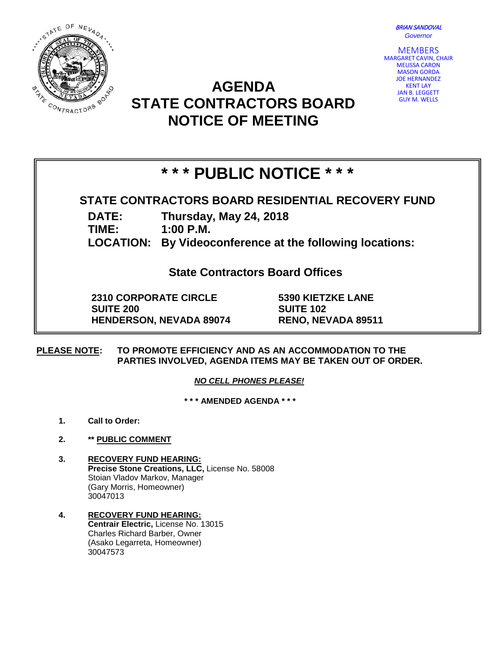BRIAN SANDOVAL *Governor*



**MEMBERS** MARGARET CAVIN, CHAIR MELISSA CARON MASON GORDA JOE HERNANDEZ KENT LAY JAN B. LEGGETT GUY M. WELLS

## **AGENDA STATE CONTRACTORS BOARD NOTICE OF MEETING**

# **\* \* \* PUBLIC NOTICE \* \* \***

### **STATE CONTRACTORS BOARD RESIDENTIAL RECOVERY FUND**

**DATE: Thursday, May 24, 2018**

**TIME: 1:00 P.M.**

**LOCATION: By Videoconference at the following locations:**

**State Contractors Board Offices**

**2310 CORPORATE CIRCLE SUITE 200 HENDERSON, NEVADA 89074** **5390 KIETZKE LANE SUITE 102 RENO, NEVADA 89511**

**PLEASE NOTE: TO PROMOTE EFFICIENCY AND AS AN ACCOMMODATION TO THE PARTIES INVOLVED, AGENDA ITEMS MAY BE TAKEN OUT OF ORDER.**

*NO CELL PHONES PLEASE!* 

**\* \* \* AMENDED AGENDA \* \* \***

- **1. Call to Order:**
- **2. \*\* PUBLIC COMMENT**
- **3. RECOVERY FUND HEARING: Precise Stone Creations, LLC,** License No. 58008 Stoian Vladov Markov, Manager (Gary Morris, Homeowner) 30047013
- **4. RECOVERY FUND HEARING: Centrair Electric,** License No. 13015 Charles Richard Barber, Owner (Asako Legarreta, Homeowner) 30047573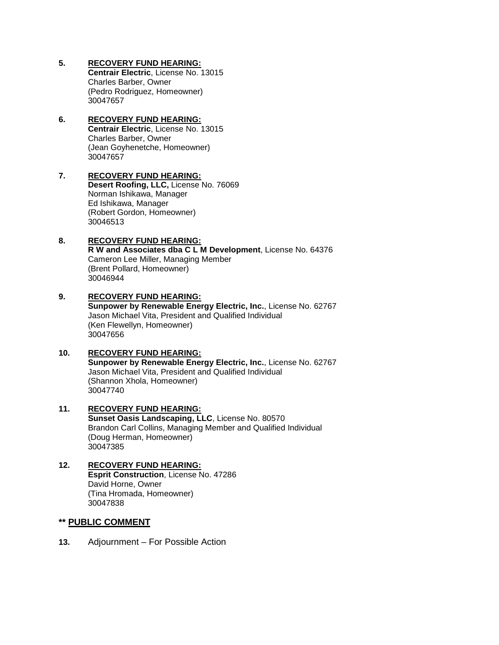**5. RECOVERY FUND HEARING:**

**Centrair Electric**, License No. 13015 Charles Barber, Owner (Pedro Rodriguez, Homeowner) 30047657

**6. RECOVERY FUND HEARING: Centrair Electric**, License No. 13015 Charles Barber, Owner (Jean Goyhenetche, Homeowner) 30047657

#### **7. RECOVERY FUND HEARING: Desert Roofing, LLC,** License No. 76069 Norman Ishikawa, Manager Ed Ishikawa, Manager (Robert Gordon, Homeowner)

#### **8. RECOVERY FUND HEARING: R W and Associates dba C L M Development**, License No. 64376 Cameron Lee Miller, Managing Member (Brent Pollard, Homeowner) 30046944

#### **9. RECOVERY FUND HEARING:**

30046513

**Sunpower by Renewable Energy Electric, Inc.**, License No. 62767 Jason Michael Vita, President and Qualified Individual (Ken Flewellyn, Homeowner) 30047656

#### **10. RECOVERY FUND HEARING:**

**Sunpower by Renewable Energy Electric, Inc.**, License No. 62767 Jason Michael Vita, President and Qualified Individual (Shannon Xhola, Homeowner) 30047740

#### **11. RECOVERY FUND HEARING: Sunset Oasis Landscaping, LLC**, License No. 80570 Brandon Carl Collins, Managing Member and Qualified Individual (Doug Herman, Homeowner) 30047385

#### **12. RECOVERY FUND HEARING: Esprit Construction**, License No. 47286 David Horne, Owner (Tina Hromada, Homeowner) 30047838

#### **\*\* PUBLIC COMMENT**

**13.** Adjournment – For Possible Action